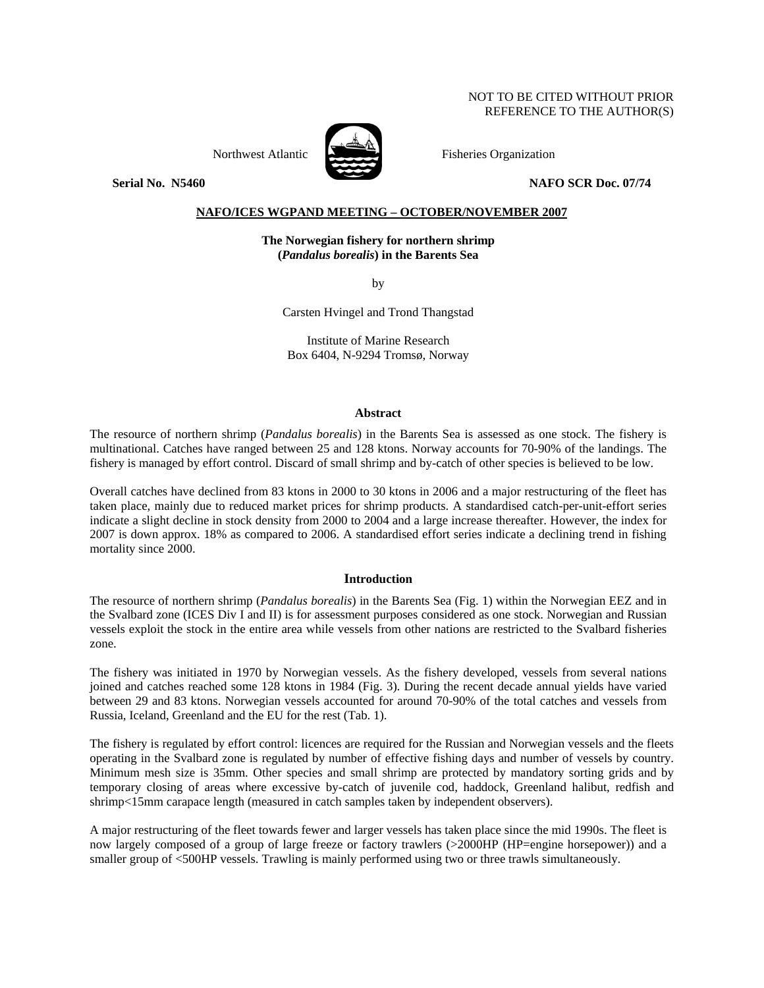# NOT TO BE CITED WITHOUT PRIOR REFERENCE TO THE AUTHOR(S)



Northwest Atlantic **No. 1989** Fisheries Organization

**Serial No. 3.5460 NAFO SCR Doc. 07/74** 2010 NAFO SCR Doc. 07/74

# **NAFO/ICES WGPAND MEETING – OCTOBER/NOVEMBER 2007**

**The Norwegian fishery for northern shrimp (***Pandalus borealis***) in the Barents Sea**

by

Carsten Hvingel and Trond Thangstad

Institute of Marine Research Box 6404, N-9294 Tromsø, Norway

# **Abstract**

The resource of northern shrimp (*Pandalus borealis*) in the Barents Sea is assessed as one stock. The fishery is multinational. Catches have ranged between 25 and 128 ktons. Norway accounts for 70-90% of the landings. The fishery is managed by effort control. Discard of small shrimp and by-catch of other species is believed to be low.

Overall catches have declined from 83 ktons in 2000 to 30 ktons in 2006 and a major restructuring of the fleet has taken place, mainly due to reduced market prices for shrimp products. A standardised catch-per-unit-effort series indicate a slight decline in stock density from 2000 to 2004 and a large increase thereafter. However, the index for 2007 is down approx. 18% as compared to 2006. A standardised effort series indicate a declining trend in fishing mortality since 2000.

## **Introduction**

The resource of northern shrimp (*Pandalus borealis*) in the Barents Sea (Fig. 1) within the Norwegian EEZ and in the Svalbard zone (ICES Div I and II) is for assessment purposes considered as one stock. Norwegian and Russian vessels exploit the stock in the entire area while vessels from other nations are restricted to the Svalbard fisheries zone.

The fishery was initiated in 1970 by Norwegian vessels. As the fishery developed, vessels from several nations joined and catches reached some 128 ktons in 1984 (Fig. 3). During the recent decade annual yields have varied between 29 and 83 ktons. Norwegian vessels accounted for around 70-90% of the total catches and vessels from Russia, Iceland, Greenland and the EU for the rest (Tab. 1).

The fishery is regulated by effort control: licences are required for the Russian and Norwegian vessels and the fleets operating in the Svalbard zone is regulated by number of effective fishing days and number of vessels by country. Minimum mesh size is 35mm. Other species and small shrimp are protected by mandatory sorting grids and by temporary closing of areas where excessive by-catch of juvenile cod, haddock, Greenland halibut, redfish and shrimp<15mm carapace length (measured in catch samples taken by independent observers).

A major restructuring of the fleet towards fewer and larger vessels has taken place since the mid 1990s. The fleet is now largely composed of a group of large freeze or factory trawlers (>2000HP (HP=engine horsepower)) and a smaller group of <500HP vessels. Trawling is mainly performed using two or three trawls simultaneously.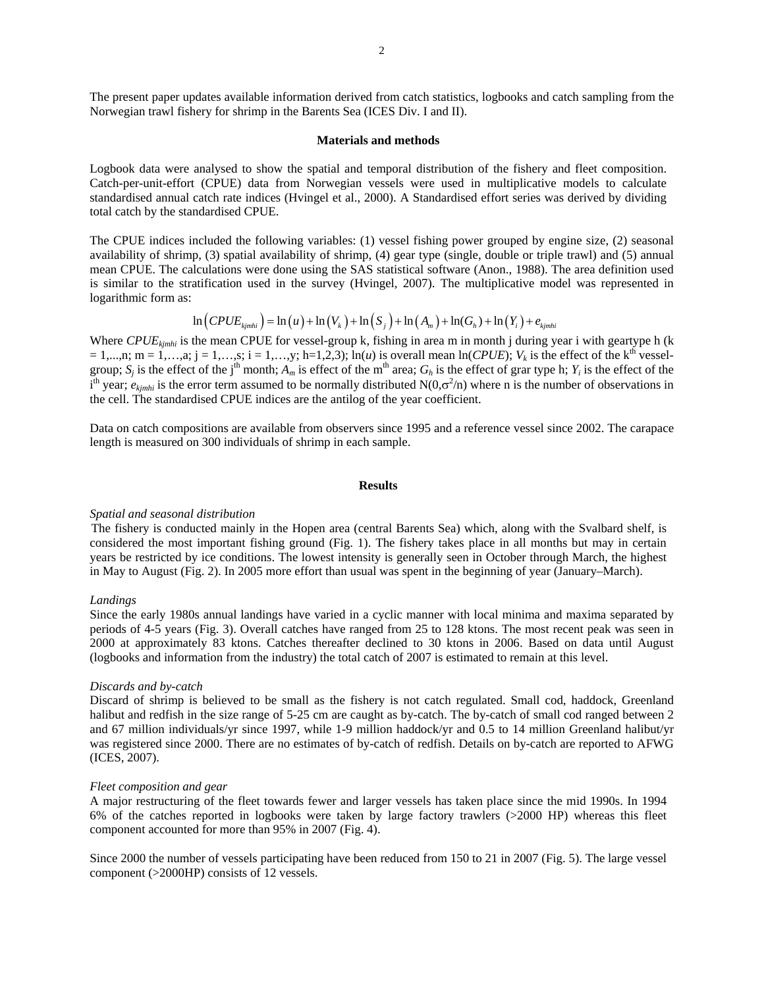The present paper updates available information derived from catch statistics, logbooks and catch sampling from the Norwegian trawl fishery for shrimp in the Barents Sea (ICES Div. I and II).

#### **Materials and methods**

Logbook data were analysed to show the spatial and temporal distribution of the fishery and fleet composition. Catch-per-unit-effort (CPUE) data from Norwegian vessels were used in multiplicative models to calculate standardised annual catch rate indices (Hvingel et al., 2000). A Standardised effort series was derived by dividing total catch by the standardised CPUE.

The CPUE indices included the following variables: (1) vessel fishing power grouped by engine size, (2) seasonal availability of shrimp, (3) spatial availability of shrimp, (4) gear type (single, double or triple trawl) and (5) annual mean CPUE. The calculations were done using the SAS statistical software (Anon., 1988). The area definition used is similar to the stratification used in the survey (Hvingel, 2007). The multiplicative model was represented in logarithmic form as:

$$
\ln\left(CPUE_{kjmhi}\right) = \ln\left(u\right) + \ln\left(V_k\right) + \ln\left(S_j\right) + \ln\left(A_m\right) + \ln\left(G_h\right) + \ln\left(Y_i\right) + e_{kjmhi}
$$

Where *CPUE<sub>kimhi</sub>* is the mean CPUE for vessel-group k, fishing in area m in month j during year i with geartype h (k)  $= 1,...,n;$  m  $= 1,...,a;$  j  $= 1,...,s;$  i  $= 1,...,y;$  h=1,2,3); ln(*u*) is overall mean ln(*CPUE*);  $V_k$  is the effect of the k<sup>th</sup> vesselgroup;  $S_j$  is the effect of the j<sup>th</sup> month;  $A_m$  is effect of the m<sup>th</sup> area;  $G_h$  is the effect of grar type h;  $Y_i$  is the effect of the  $i<sup>th</sup>$  year;  $e_{kjmhi}$  is the error term assumed to be normally distributed N(0, $\sigma^2$ /n) where n is the number of observations in the cell. The standardised CPUE indices are the antilog of the year coefficient.

Data on catch compositions are available from observers since 1995 and a reference vessel since 2002. The carapace length is measured on 300 individuals of shrimp in each sample.

### **Results**

#### *Spatial and seasonal distribution*

The fishery is conducted mainly in the Hopen area (central Barents Sea) which, along with the Svalbard shelf, is considered the most important fishing ground (Fig. 1). The fishery takes place in all months but may in certain years be restricted by ice conditions. The lowest intensity is generally seen in October through March, the highest in May to August (Fig. 2). In 2005 more effort than usual was spent in the beginning of year (January–March).

## *Landings*

Since the early 1980s annual landings have varied in a cyclic manner with local minima and maxima separated by periods of 4-5 years (Fig. 3). Overall catches have ranged from 25 to 128 ktons. The most recent peak was seen in 2000 at approximately 83 ktons. Catches thereafter declined to 30 ktons in 2006. Based on data until August (logbooks and information from the industry) the total catch of 2007 is estimated to remain at this level.

### *Discards and by-catch*

Discard of shrimp is believed to be small as the fishery is not catch regulated. Small cod, haddock, Greenland halibut and redfish in the size range of 5-25 cm are caught as by-catch. The by-catch of small cod ranged between 2 and 67 million individuals/yr since 1997, while 1-9 million haddock/yr and 0.5 to 14 million Greenland halibut/yr was registered since 2000. There are no estimates of by-catch of redfish. Details on by-catch are reported to AFWG (ICES, 2007).

#### *Fleet composition and gear*

A major restructuring of the fleet towards fewer and larger vessels has taken place since the mid 1990s. In 1994 6% of the catches reported in logbooks were taken by large factory trawlers (>2000 HP) whereas this fleet component accounted for more than 95% in 2007 (Fig. 4).

Since 2000 the number of vessels participating have been reduced from 150 to 21 in 2007 (Fig. 5). The large vessel component (>2000HP) consists of 12 vessels.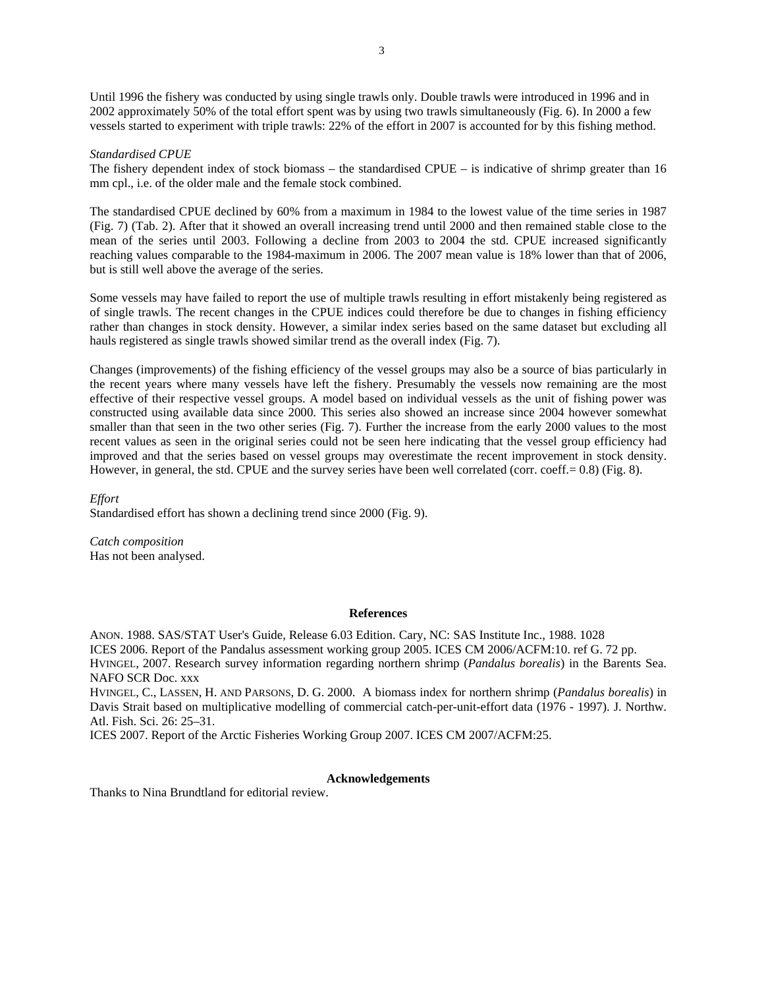Until 1996 the fishery was conducted by using single trawls only. Double trawls were introduced in 1996 and in 2002 approximately 50% of the total effort spent was by using two trawls simultaneously (Fig. 6). In 2000 a few vessels started to experiment with triple trawls: 22% of the effort in 2007 is accounted for by this fishing method.

### *Standardised CPUE*

The fishery dependent index of stock biomass – the standardised CPUE – is indicative of shrimp greater than 16 mm cpl., i.e. of the older male and the female stock combined.

The standardised CPUE declined by 60% from a maximum in 1984 to the lowest value of the time series in 1987 (Fig. 7) (Tab. 2). After that it showed an overall increasing trend until 2000 and then remained stable close to the mean of the series until 2003. Following a decline from 2003 to 2004 the std. CPUE increased significantly reaching values comparable to the 1984-maximum in 2006. The 2007 mean value is 18% lower than that of 2006, but is still well above the average of the series.

Some vessels may have failed to report the use of multiple trawls resulting in effort mistakenly being registered as of single trawls. The recent changes in the CPUE indices could therefore be due to changes in fishing efficiency rather than changes in stock density. However, a similar index series based on the same dataset but excluding all hauls registered as single trawls showed similar trend as the overall index (Fig. 7).

Changes (improvements) of the fishing efficiency of the vessel groups may also be a source of bias particularly in the recent years where many vessels have left the fishery. Presumably the vessels now remaining are the most effective of their respective vessel groups. A model based on individual vessels as the unit of fishing power was constructed using available data since 2000. This series also showed an increase since 2004 however somewhat smaller than that seen in the two other series (Fig. 7). Further the increase from the early 2000 values to the most recent values as seen in the original series could not be seen here indicating that the vessel group efficiency had improved and that the series based on vessel groups may overestimate the recent improvement in stock density. However, in general, the std. CPUE and the survey series have been well correlated (corr. coeff. = 0.8) (Fig. 8).

*Effort*  Standardised effort has shown a declining trend since 2000 (Fig. 9).

*Catch composition*  Has not been analysed.

### **References**

ANON. 1988. SAS/STAT User's Guide, Release 6.03 Edition. Cary, NC: SAS Institute Inc., 1988. 1028 ICES 2006. Report of the Pandalus assessment working group 2005. ICES CM 2006/ACFM:10. ref G. 72 pp. HVINGEL, 2007. Research survey information regarding northern shrimp (*Pandalus borealis*) in the Barents Sea. NAFO SCR Doc. xxx

HVINGEL, C., LASSEN, H. AND PARSONS, D. G. 2000. A biomass index for northern shrimp (*Pandalus borealis*) in Davis Strait based on multiplicative modelling of commercial catch-per-unit-effort data (1976 - 1997). J. Northw. Atl. Fish. Sci. 26: 25–31.

ICES 2007. Report of the Arctic Fisheries Working Group 2007. ICES CM 2007/ACFM:25.

# **Acknowledgements**

Thanks to Nina Brundtland for editorial review.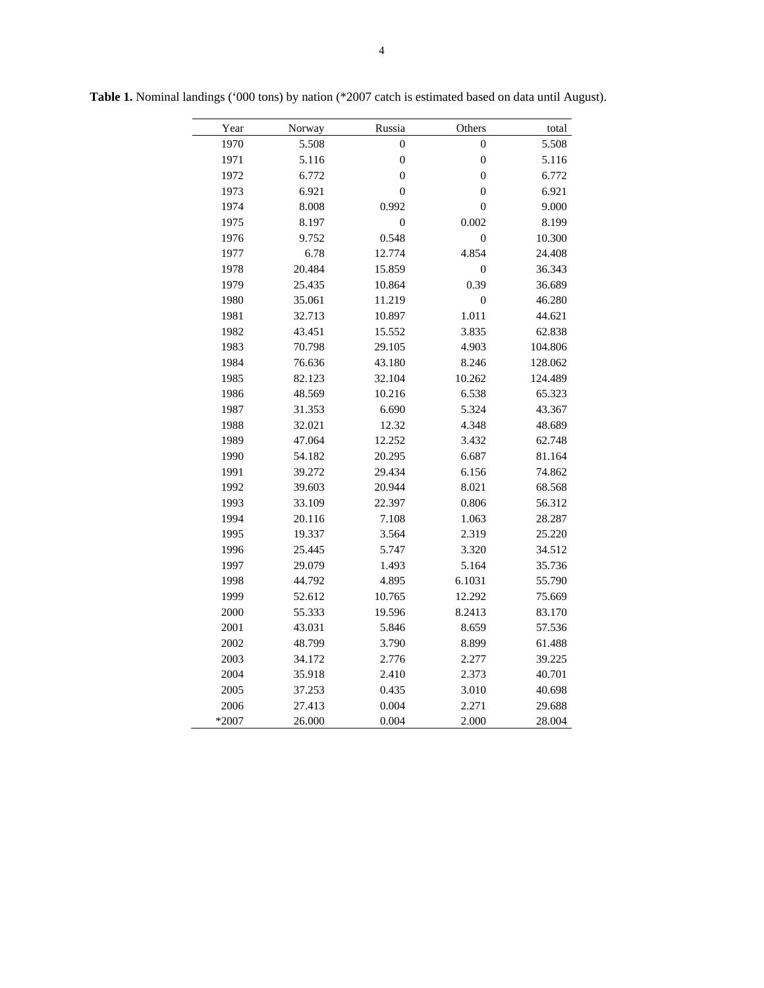| total   | Others           | Russia           | Norway | Year  |
|---------|------------------|------------------|--------|-------|
| 5.508   | $\boldsymbol{0}$ | $\boldsymbol{0}$ | 5.508  | 1970  |
| 5.116   | $\boldsymbol{0}$ | $\boldsymbol{0}$ | 5.116  | 1971  |
| 6.772   | $\boldsymbol{0}$ | $\boldsymbol{0}$ | 6.772  | 1972  |
| 6.921   | $\mathbf{0}$     | $\mathbf{0}$     | 6.921  | 1973  |
| 9.000   | $\overline{0}$   | 0.992            | 8.008  | 1974  |
| 8.199   | 0.002            | $\boldsymbol{0}$ | 8.197  | 1975  |
| 10.300  | $\mathbf{0}$     | 0.548            | 9.752  | 1976  |
| 24.408  | 4.854            | 12.774           | 6.78   | 1977  |
| 36.343  | $\boldsymbol{0}$ | 15.859           | 20.484 | 1978  |
| 36.689  | 0.39             | 10.864           | 25.435 | 1979  |
| 46.280  | $\overline{0}$   | 11.219           | 35.061 | 1980  |
| 44.621  | 1.011            | 10.897           | 32.713 | 1981  |
| 62.838  | 3.835            | 15.552           | 43.451 | 1982  |
| 104.806 | 4.903            | 29.105           | 70.798 | 1983  |
| 128.062 | 8.246            | 43.180           | 76.636 | 1984  |
| 124.489 | 10.262           | 32.104           | 82.123 | 1985  |
| 65.323  | 6.538            | 10.216           | 48.569 | 1986  |
| 43.367  | 5.324            | 6.690            | 31.353 | 1987  |
| 48.689  | 4.348            | 12.32            | 32.021 | 1988  |
| 62.748  | 3.432            | 12.252           | 47.064 | 1989  |
| 81.164  | 6.687            | 20.295           | 54.182 | 1990  |
| 74.862  | 6.156            | 29.434           | 39.272 | 1991  |
| 68.568  | 8.021            | 20.944           | 39.603 | 1992  |
| 56.312  | 0.806            | 22.397           | 33.109 | 1993  |
| 28.287  | 1.063            | 7.108            | 20.116 | 1994  |
| 25.220  | 2.319            | 3.564            | 19.337 | 1995  |
| 34.512  | 3.320            | 5.747            | 25.445 | 1996  |
| 35.736  | 5.164            | 1.493            | 29.079 | 1997  |
| 55.790  | 6.1031           | 4.895            | 44.792 | 1998  |
| 75.669  | 12.292           | 10.765           | 52.612 | 1999  |
| 83.170  | 8.2413           | 19.596           | 55.333 | 2000  |
| 57.536  | 8.659            | 5.846            | 43.031 | 2001  |
| 61.488  | 8.899            | 3.790            | 48.799 | 2002  |
| 39.225  | 2.277            | 2.776            | 34.172 | 2003  |
| 40.701  | 2.373            | 2.410            | 35.918 | 2004  |
| 40.698  | 3.010            | 0.435            | 37.253 | 2005  |
| 29.688  | 2.271            | 0.004            | 27.413 | 2006  |
| 28.004  | 2.000            | 0.004            | 26.000 | *2007 |

**Table 1.** Nominal landings ('000 tons) by nation (\*2007 catch is estimated based on data until August).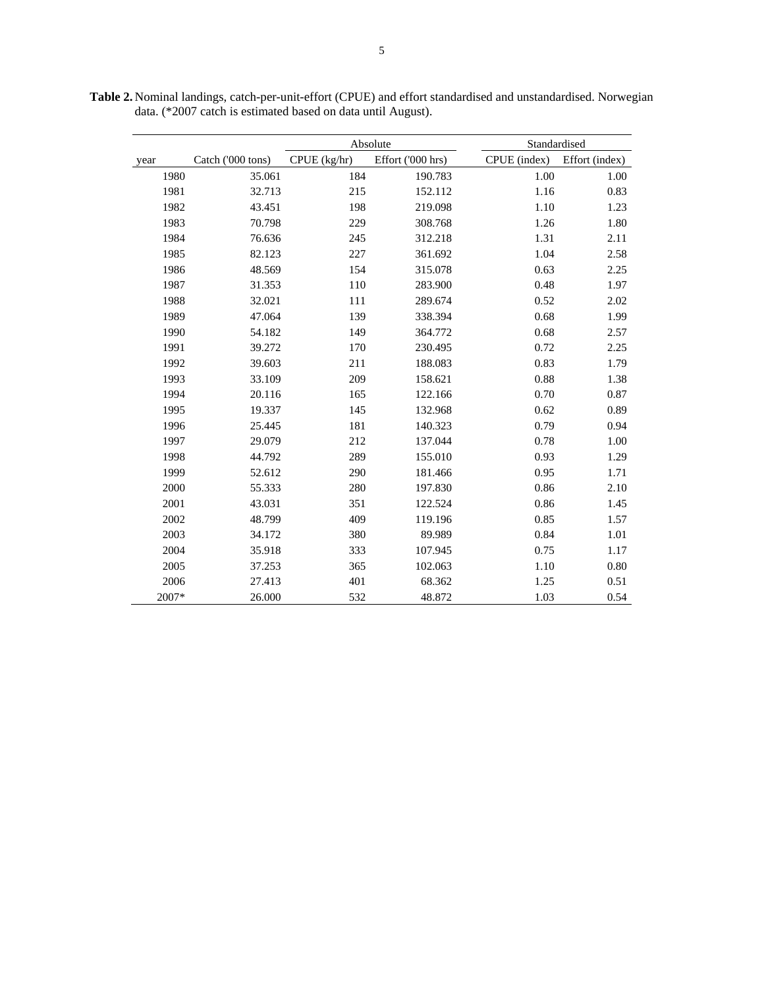Absolute Standardised year Catch ('000 tons) CPUE (kg/hr) Effort ('000 hrs) CPUE (index) Effort (index) 1980 35.061 184 190.783 1.00 1.00 1981 32.713 215 152.112 1.16 0.83 1982 43.451 198 219.098 1.10 1.23 1983 70.798 229 308.768 1.26 1.80 1984 76.636 245 312.218 1.31 2.11 1985 82.123 227 361.692 1.04 2.58 1986 48.569 154 315.078 0.63 2.25 1987 31.353 110 283.900 0.48 1.97 1988 32.021 111 289.674 0.52 2.02 1989 47.064 139 338.394 0.68 1.99 1990 54.182 149 364.772 0.68 2.57 1991 39.272 170 230.495 0.72 2.25 1992 39.603 211 188.083 0.83 1.79 1993 33.109 209 158.621 0.88 1.38 1994 20.116 165 122.166 0.70 0.87 1995 19.337 145 132.968 0.62 0.89 1996 25.445 181 140.323 0.79 0.94 1997 29.079 212 137.044 0.78 1.00 1998 44.792 289 155.010 0.93 1.29 1999 52.612 290 181.466 0.95 1.71 2000 55.333 280 197.830 0.86 2.10 2001 43.031 351 122.524 0.86 1.45 2002 48.799 409 119.196 0.85 1.57 2003 34.172 380 89.989 0.84 1.01 2004 35.918 333 107.945 0.75 1.17 2005 37.253 365 102.063 1.10 0.80 2006 27.413 401 68.362 1.25 0.51 2007\* 26.000 532 48.872 1.03 0.54

**Table 2.** Nominal landings, catch-per-unit-effort (CPUE) and effort standardised and unstandardised. Norwegian data. (\*2007 catch is estimated based on data until August).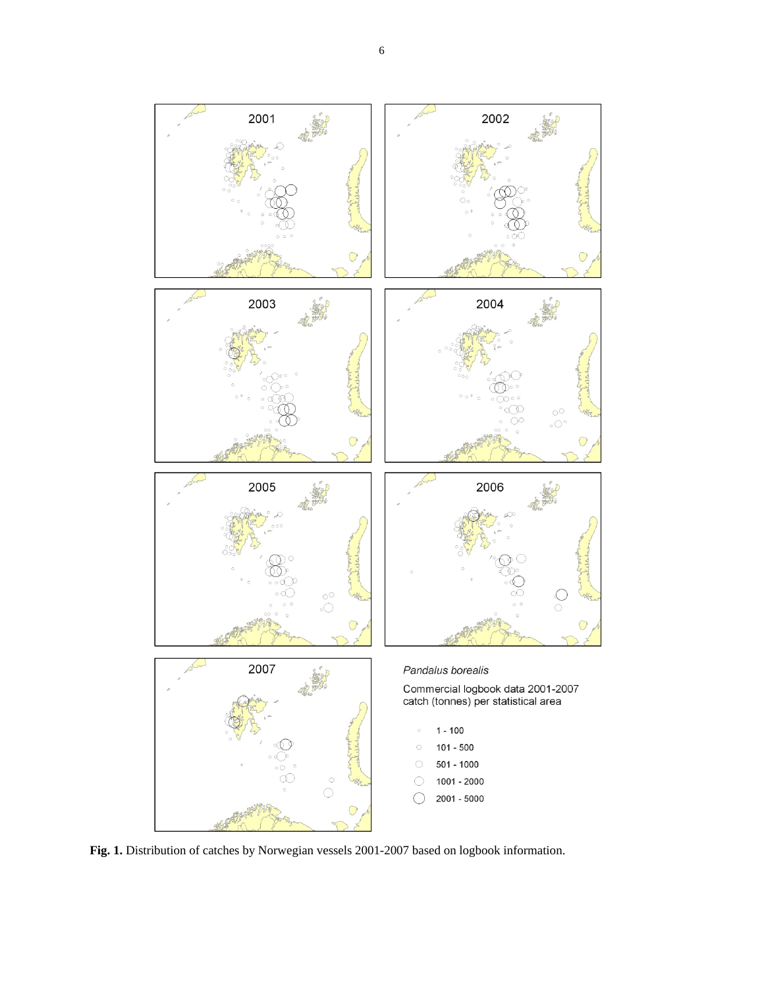

Fig. 1. Distribution of catches by Norwegian vessels 2001-2007 based on logbook information.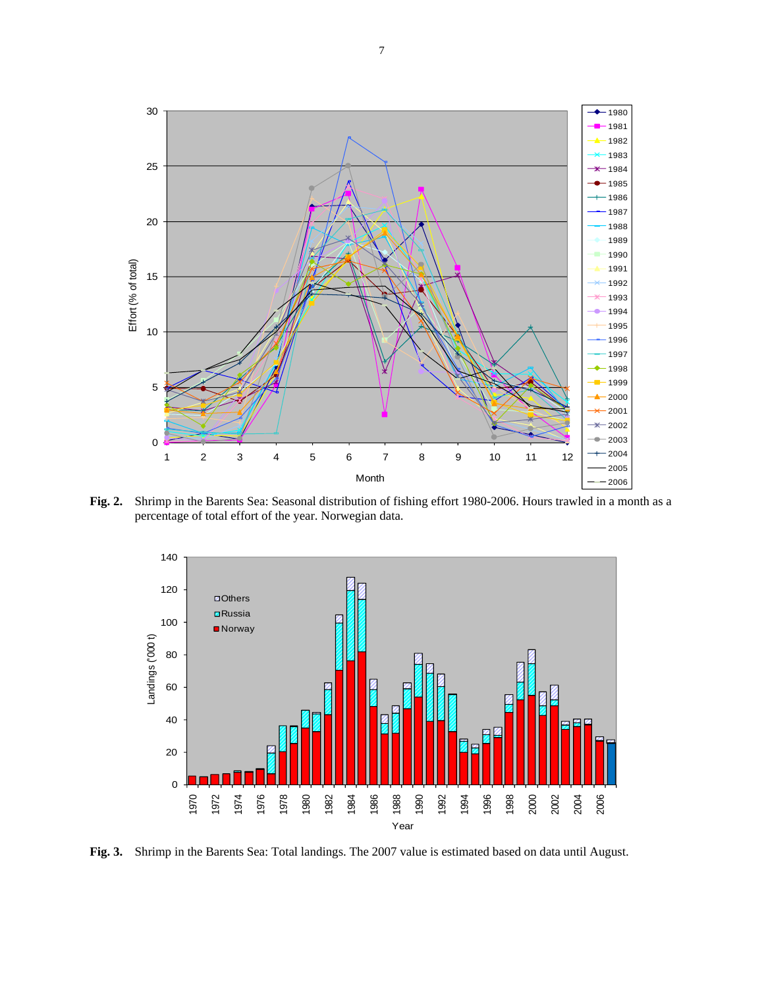

**Fig. 2.** Shrimp in the Barents Sea: Seasonal distribution of fishing effort 1980-2006. Hours trawled in a month as a percentage of total effort of the year. Norwegian data.



**Fig. 3.** Shrimp in the Barents Sea: Total landings. The 2007 value is estimated based on data until August.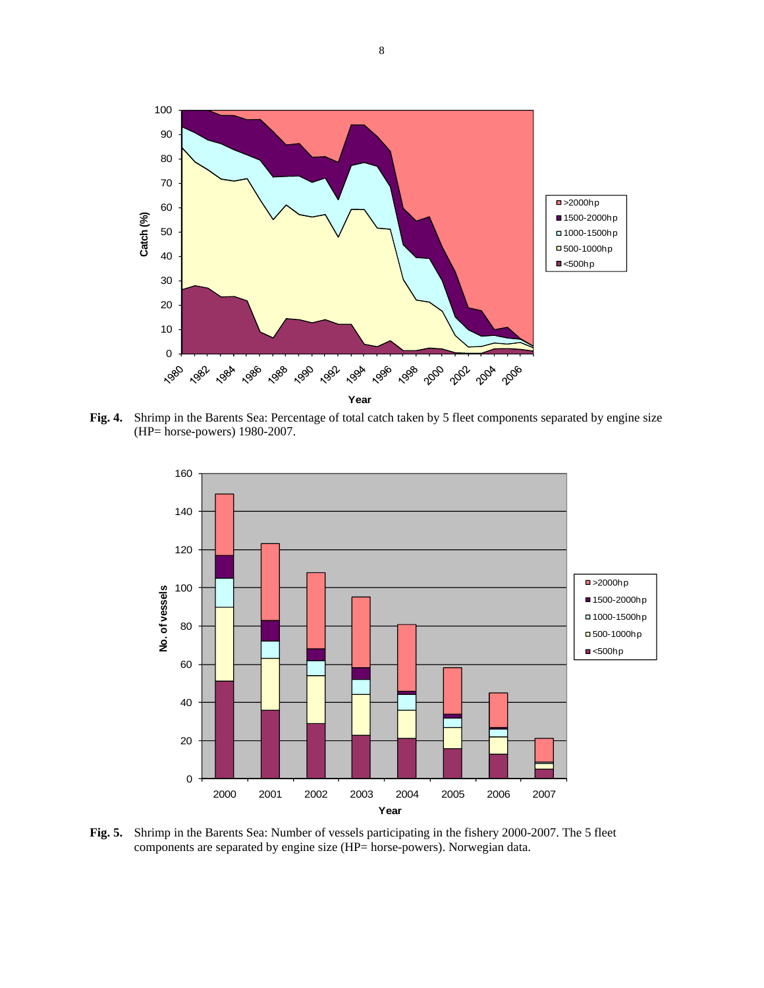

**Fig. 4.** Shrimp in the Barents Sea: Percentage of total catch taken by 5 fleet components separated by engine size (HP= horse-powers) 1980-2007.



**Fig. 5.** Shrimp in the Barents Sea: Number of vessels participating in the fishery 2000-2007. The 5 fleet components are separated by engine size (HP= horse-powers). Norwegian data.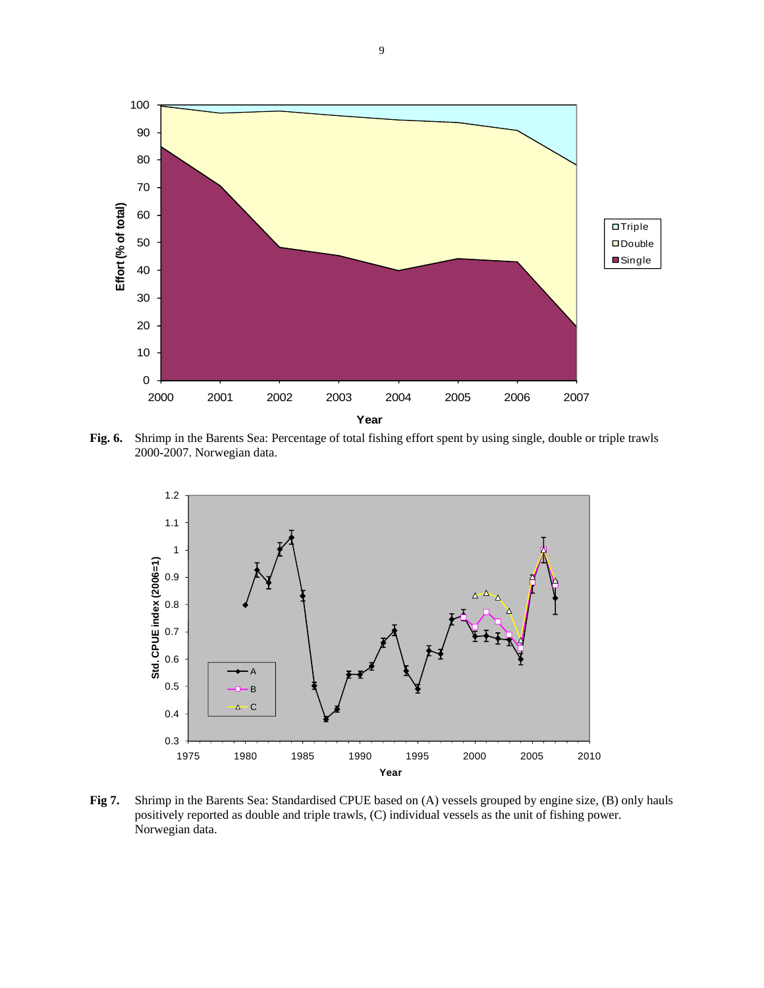

**Fig. 6.** Shrimp in the Barents Sea: Percentage of total fishing effort spent by using single, double or triple trawls 2000-2007. Norwegian data.



**Fig 7.** Shrimp in the Barents Sea: Standardised CPUE based on (A) vessels grouped by engine size, (B) only hauls positively reported as double and triple trawls, (C) individual vessels as the unit of fishing power. Norwegian data.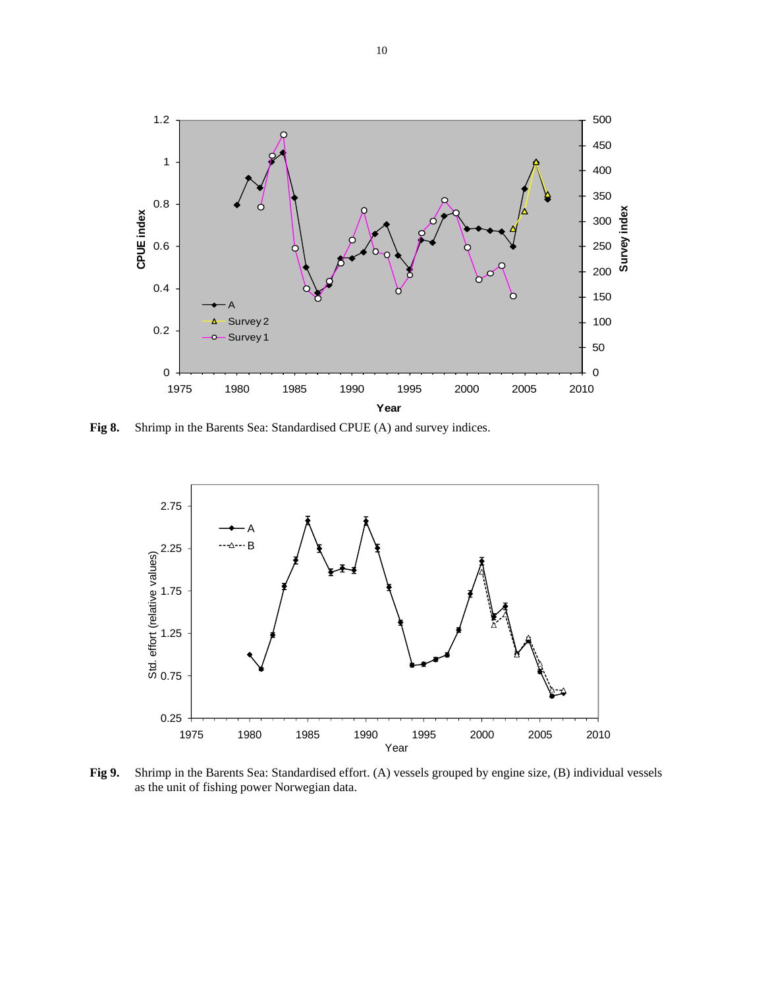

**Fig 8.** Shrimp in the Barents Sea: Standardised CPUE (A) and survey indices.



**Fig 9.** Shrimp in the Barents Sea: Standardised effort. (A) vessels grouped by engine size, (B) individual vessels as the unit of fishing power Norwegian data.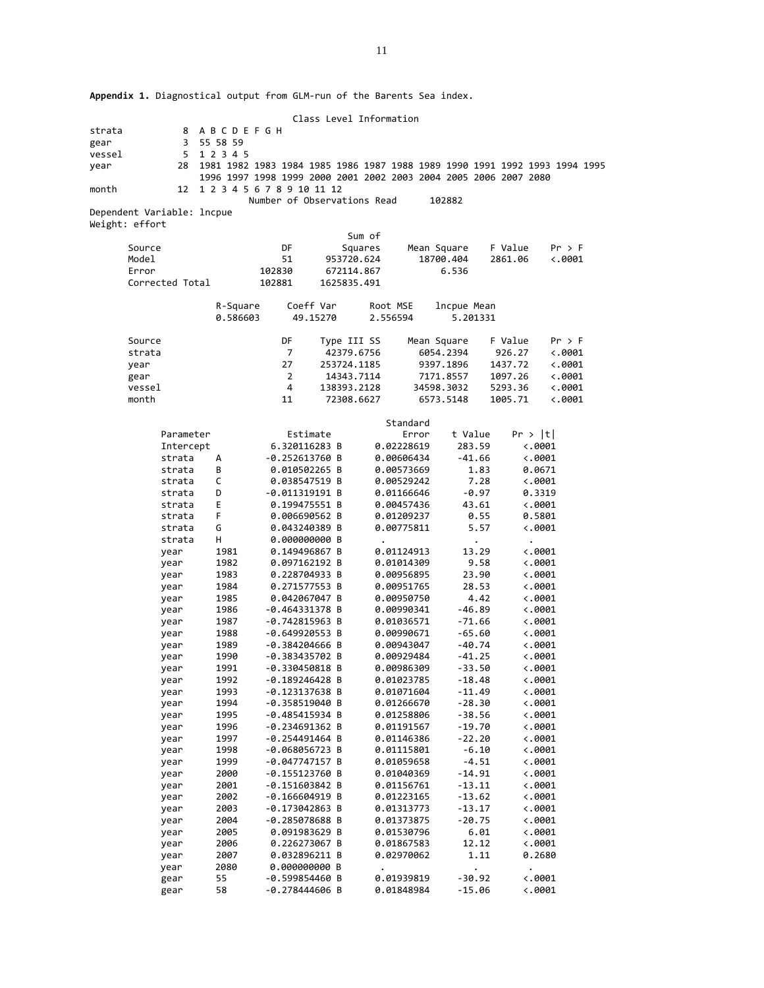**Appendix 1.** Diagnostical output from GLM‐run of the Barents Sea index.

|        |                            |              |                                                                                                |                                      | Class Level Information |            |                          |                      |           |                                                                            |
|--------|----------------------------|--------------|------------------------------------------------------------------------------------------------|--------------------------------------|-------------------------|------------|--------------------------|----------------------|-----------|----------------------------------------------------------------------------|
| strata |                            | 8            | <b>ABCDEFGH</b>                                                                                |                                      |                         |            |                          |                      |           |                                                                            |
| gear   |                            | 3            | 55 58 59                                                                                       |                                      |                         |            |                          |                      |           |                                                                            |
| vessel |                            | 5            | 1 2 3 4 5                                                                                      |                                      |                         |            |                          |                      |           |                                                                            |
| year   |                            | 28           |                                                                                                |                                      |                         |            |                          |                      |           | 1981 1982 1983 1984 1985 1986 1987 1988 1989 1990 1991 1992 1993 1994 1995 |
| month  |                            | 12           | 1996 1997 1998 1999 2000 2001 2002 2003 2004 2005 2006 2007 2080<br>1 2 3 4 5 6 7 8 9 10 11 12 |                                      |                         |            |                          |                      |           |                                                                            |
|        |                            |              |                                                                                                | Number of Observations Read          |                         |            |                          | 102882               |           |                                                                            |
|        | Dependent Variable: lncpue |              |                                                                                                |                                      |                         |            |                          |                      |           |                                                                            |
|        | Weight: effort             |              |                                                                                                |                                      |                         |            |                          |                      |           |                                                                            |
|        |                            |              |                                                                                                |                                      |                         | Sum of     |                          |                      |           |                                                                            |
|        | Source                     |              |                                                                                                | DF                                   |                         | Squares    | Mean Square              |                      | F Value   | Pr > F                                                                     |
|        | Model                      |              |                                                                                                | 51                                   |                         | 953720.624 |                          | 18700.404            | 2861.06   | $\langle .0001$                                                            |
|        | Error                      |              |                                                                                                | 102830                               |                         | 672114.867 |                          | 6.536                |           |                                                                            |
|        | Corrected Total            |              |                                                                                                | 102881                               | 1625835.491             |            |                          |                      |           |                                                                            |
|        |                            |              |                                                                                                |                                      |                         |            |                          |                      |           |                                                                            |
|        |                            |              | R-Square                                                                                       |                                      | Coeff Var               | Root MSE   |                          | lncpue Mean          |           |                                                                            |
|        |                            |              | 0.586603                                                                                       |                                      | 49.15270                | 2.556594   |                          | 5.201331             |           |                                                                            |
|        |                            |              |                                                                                                |                                      |                         |            |                          |                      |           |                                                                            |
|        | Source                     |              |                                                                                                | DF                                   | Type III SS             |            | Mean Square              |                      | F Value   | Pr > F                                                                     |
|        | strata                     |              |                                                                                                | 7                                    |                         | 42379.6756 |                          | 6054.2394            | 926.27    | $\langle .0001$                                                            |
|        | year                       |              |                                                                                                | 27                                   | 253724.1185             |            |                          | 9397.1896            | 1437.72   | $\langle .0001$                                                            |
|        | gear                       |              |                                                                                                | 2                                    |                         | 14343.7114 |                          | 7171.8557            | 1097.26   | $\langle .0001$                                                            |
|        | vessel                     |              |                                                                                                | 4                                    | 138393.2128             |            |                          | 34598.3032           | 5293.36   | $\langle .0001$                                                            |
|        | month                      |              |                                                                                                | 11                                   |                         | 72308.6627 |                          | 6573.5148            | 1005.71   | $\langle .0001$                                                            |
|        |                            |              |                                                                                                |                                      |                         |            | Standard                 |                      |           |                                                                            |
|        |                            | Parameter    |                                                                                                |                                      | Estimate                |            | Error                    | t Value              | Pr >  t   |                                                                            |
|        |                            | Intercept    |                                                                                                |                                      | 6.320116283 B           |            | 0.02228619               | 283.59               |           | $\langle .0001$                                                            |
|        |                            | strata       | А                                                                                              | $-0.252613760$ B                     |                         |            | 0.00606434               | $-41.66$             |           | $\ddotsc 0001$                                                             |
|        |                            | strata       | B                                                                                              | 0.010502265 B                        |                         |            | 0.00573669               | 1.83                 |           | 0.0671                                                                     |
|        |                            | strata       | C                                                                                              |                                      | 0.038547519 B           |            | 0.00529242               | 7.28                 |           | $\ddotsc 0001$                                                             |
|        |                            | strata       | D                                                                                              | $-0.011319191B$                      |                         |            | 0.01166646               | $-0.97$              |           | 0.3319                                                                     |
|        |                            | strata       | Е                                                                                              | 0.199475551 B                        |                         |            | 0.00457436               | 43.61                |           | $\ddotsc 0001$                                                             |
|        |                            | strata       | F.                                                                                             | 0.006690562 B                        |                         |            | 0.01209237               | 0.55                 |           | 0.5801                                                                     |
|        |                            | strata       | G                                                                                              | 0.043240389 B                        |                         |            | 0.00775811               | 5.57                 |           | $\ddotsc 0001$                                                             |
|        |                            | strata       | н                                                                                              | 0.000000000 B                        |                         |            |                          |                      | $\bullet$ |                                                                            |
|        |                            | year         | 1981                                                                                           | 0.149496867 B                        |                         |            | 0.01124913               | 13.29                |           | $\langle .0001$                                                            |
|        |                            | year         | 1982                                                                                           | 0.097162192 B                        |                         |            | 0.01014309               | 9.58                 |           | $\ddotsc 0001$                                                             |
|        |                            | year         | 1983                                                                                           | 0.228704933 B                        |                         |            | 0.00956895               | 23.90                |           | $\ddotsc 0001$                                                             |
|        |                            | year         | 1984                                                                                           |                                      | 0.271577553 B           |            | 0.00951765               | 28.53                |           | $\ddotsc 0001$                                                             |
|        |                            | year         | 1985                                                                                           |                                      | 0.042067047 B           |            | 0.00950750               | 4.42                 |           | $\langle .0001$                                                            |
|        |                            | year         | 1986                                                                                           | $-0.464331378$ B                     |                         |            | 0.00990341               | $-46.89$             |           | $\ddotsc 0001$                                                             |
|        |                            | year         | 1987                                                                                           | $-0.742815963 B$                     |                         |            | 0.01036571               | $-71.66$             |           | $\ddotsc 0001$                                                             |
|        |                            | year         | 1988                                                                                           | $-0.649920553 B$                     |                         |            | 0.00990671               | $-65.60$             |           | $\ddotsc 0001$                                                             |
|        |                            | year         | 1989                                                                                           | $-0.384204666$ B                     |                         |            | 0.00943047               | $-40.74$             |           | $\langle .0001$                                                            |
|        |                            | year         | 1990                                                                                           | $-0.383435702 B$                     |                         |            | 0.00929484               | $-41.25$             |           | $\ddotsc 0001$                                                             |
|        |                            | year         | 1991                                                                                           | $-0.330450818$ B                     |                         |            | 0.00986309               | $-33.50$             |           | $\langle .0001$                                                            |
|        |                            | year         | 1992<br>1993                                                                                   | $-0.189246428$ B<br>$-0.123137638$ B |                         |            | 0.01023785               | $-18.48$             |           | $\ddotsc 0001$<br>0.0001                                                   |
|        |                            | year         | 1994                                                                                           | $-0.358519040$ B                     |                         |            | 0.01071604<br>0.01266670 | $-11.49$<br>$-28.30$ |           | 0.0001                                                                     |
|        |                            | year<br>year | 1995                                                                                           | $-0.485415934 B$                     |                         |            | 0.01258806               | $-38.56$             |           | $\ddotsc 0001$                                                             |
|        |                            | year         | 1996                                                                                           | $-0.234691362 B$                     |                         |            | 0.01191567               | $-19.70$             |           | $\ddotsc 0001$                                                             |
|        |                            | year         | 1997                                                                                           | $-0.254491464 B$                     |                         |            | 0.01146386               | $-22.20$             |           | 0.0001                                                                     |
|        |                            | year         | 1998                                                                                           | $-0.068056723B$                      |                         |            | 0.01115801               | $-6.10$              |           | 0.0001                                                                     |
|        |                            | year         | 1999                                                                                           | $-0.047747157 B$                     |                         |            | 0.01059658               | $-4.51$              |           | 0.0001                                                                     |
|        |                            | year         | 2000                                                                                           | $-0.155123760$ B                     |                         |            | 0.01040369               | $-14.91$             |           | 0.0001                                                                     |
|        |                            | year         | 2001                                                                                           | $-0.151603842 B$                     |                         |            | 0.01156761               | $-13.11$             |           | $\ddotsc 0001$                                                             |
|        |                            | year         | 2002                                                                                           | $-0.166604919 B$                     |                         |            | 0.01223165               | $-13.62$             |           | $\ddotsc 0001$                                                             |
|        |                            | year         | 2003                                                                                           | $-0.173042863 B$                     |                         |            | 0.01313773               | $-13.17$             |           | 0.0001                                                                     |
|        |                            | year         | 2004                                                                                           | $-0.285078688B$                      |                         |            | 0.01373875               | $-20.75$             |           | $\ddotsc 0001$                                                             |
|        |                            | year         | 2005                                                                                           | 0.091983629 B                        |                         |            | 0.01530796               | 6.01                 |           | 0.0001                                                                     |
|        |                            | year         | 2006                                                                                           | 0.226273067 B                        |                         |            | 0.01867583               | 12.12                |           | $\ddotsc 0001$                                                             |
|        |                            | year         | 2007                                                                                           | 0.032896211 B                        |                         |            | 0.02970062               | 1.11                 |           | 0.2680                                                                     |
|        |                            | year         | 2080                                                                                           | 0.000000000 B                        |                         |            |                          |                      |           |                                                                            |
|        |                            | gear         | 55                                                                                             | $-0.599854460 B$                     |                         |            | 0.01939819               | $-30.92$             |           | $\ddotsc 0001$                                                             |
|        |                            | gear         | 58                                                                                             | $-0.278444606$ B                     |                         |            | 0.01848984               | $-15.06$             |           | 0.0001                                                                     |